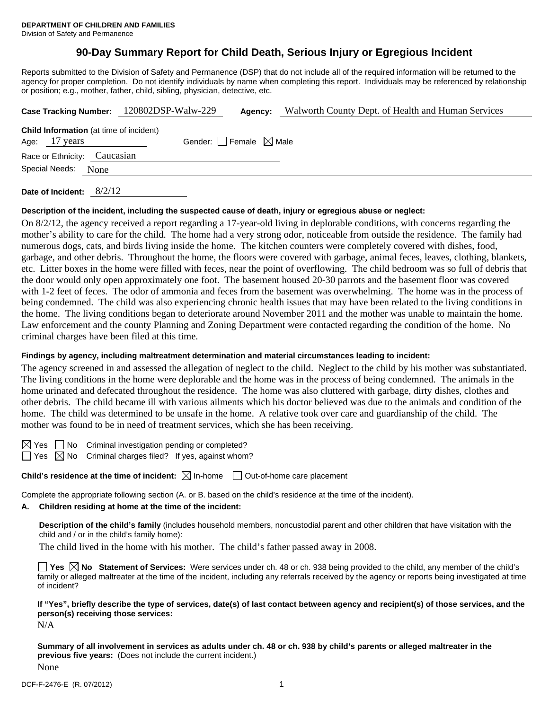# **90-Day Summary Report for Child Death, Serious Injury or Egregious Incident**

Reports submitted to the Division of Safety and Permanence (DSP) that do not include all of the required information will be returned to the agency for proper completion. Do not identify individuals by name when completing this report. Individuals may be referenced by relationship or position; e.g., mother, father, child, sibling, physician, detective, etc.

|                                                                                                    |  | Case Tracking Number: 120802DSP-Walw-229 | Agency: | Walworth County Dept. of Health and Human Services |  |  |  |  |
|----------------------------------------------------------------------------------------------------|--|------------------------------------------|---------|----------------------------------------------------|--|--|--|--|
| <b>Child Information</b> (at time of incident)<br>Gender: Female $\boxtimes$ Male<br>Age: 17 years |  |                                          |         |                                                    |  |  |  |  |
| Race or Ethnicity: Caucasian                                                                       |  |                                          |         |                                                    |  |  |  |  |
| Special Needs: None                                                                                |  |                                          |         |                                                    |  |  |  |  |
|                                                                                                    |  |                                          |         |                                                    |  |  |  |  |

**Date of Incident:** 8/2/12

#### **Description of the incident, including the suspected cause of death, injury or egregious abuse or neglect:**

On 8/2/12, the agency received a report regarding a 17-year-old living in deplorable conditions, with concerns regarding the mother's ability to care for the child. The home had a very strong odor, noticeable from outside the residence. The family had numerous dogs, cats, and birds living inside the home. The kitchen counters were completely covered with dishes, food, garbage, and other debris. Throughout the home, the floors were covered with garbage, animal feces, leaves, clothing, blankets, etc. Litter boxes in the home were filled with feces, near the point of overflowing. The child bedroom was so full of debris that the door would only open approximately one foot. The basement housed 20-30 parrots and the basement floor was covered with 1-2 feet of feces. The odor of ammonia and feces from the basement was overwhelming. The home was in the process of being condemned. The child was also experiencing chronic health issues that may have been related to the living conditions in the home. The living conditions began to deteriorate around November 2011 and the mother was unable to maintain the home. Law enforcement and the county Planning and Zoning Department were contacted regarding the condition of the home. No criminal charges have been filed at this time.

### **Findings by agency, including maltreatment determination and material circumstances leading to incident:**

The agency screened in and assessed the allegation of neglect to the child. Neglect to the child by his mother was substantiated. The living conditions in the home were deplorable and the home was in the process of being condemned. The animals in the home urinated and defecated throughout the residence. The home was also cluttered with garbage, dirty dishes, clothes and other debris. The child became ill with various ailments which his doctor believed was due to the animals and condition of the home. The child was determined to be unsafe in the home. A relative took over care and guardianship of the child. The mother was found to be in need of treatment services, which she has been receiving.

 $\boxtimes$  Yes  $\Box$  No Criminal investigation pending or completed?

 $\Box$  Yes  $\boxtimes$  No Criminal charges filed? If yes, against whom?

**Child's residence at the time of incident:**  $\boxtimes$  In-home  $\Box$  Out-of-home care placement

Complete the appropriate following section (A. or B. based on the child's residence at the time of the incident).

# **A. Children residing at home at the time of the incident:**

**Description of the child's family** (includes household members, noncustodial parent and other children that have visitation with the child and / or in the child's family home):

The child lived in the home with his mother. The child's father passed away in 2008.

■ Yes **No** Statement of Services: Were services under ch. 48 or ch. 938 being provided to the child, any member of the child's family or alleged maltreater at the time of the incident, including any referrals received by the agency or reports being investigated at time of incident?

**If "Yes", briefly describe the type of services, date(s) of last contact between agency and recipient(s) of those services, and the person(s) receiving those services:** 

N/A

**Summary of all involvement in services as adults under ch. 48 or ch. 938 by child's parents or alleged maltreater in the previous five years:** (Does not include the current incident.) None